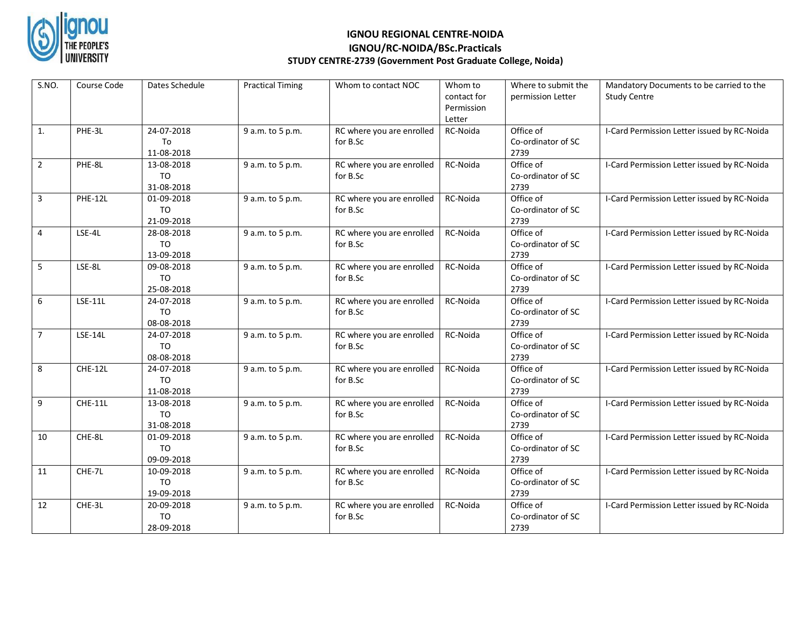

## **IGNOU REGIONAL CENTRE-NOIDA IGNOU/RC-NOIDA/BSc.Practicals STUDY CENTRE-2739 (Government Post Graduate College, Noida)**

| S.NO.          | Course Code    | Dates Schedule                             | <b>Practical Timing</b> | Whom to contact NOC                   | Whom to<br>contact for<br>Permission<br>Letter | Where to submit the<br>permission Letter | Mandatory Documents to be carried to the<br><b>Study Centre</b> |
|----------------|----------------|--------------------------------------------|-------------------------|---------------------------------------|------------------------------------------------|------------------------------------------|-----------------------------------------------------------------|
| 1.             | PHE-3L         | 24-07-2018<br>To<br>11-08-2018             | 9 a.m. to 5 p.m.        | RC where you are enrolled<br>for B.Sc | RC-Noida                                       | Office of<br>Co-ordinator of SC<br>2739  | I-Card Permission Letter issued by RC-Noida                     |
| $\overline{2}$ | PHE-8L         | 13-08-2018<br>TO<br>31-08-2018             | 9 a.m. to 5 p.m.        | RC where you are enrolled<br>for B.Sc | RC-Noida                                       | Office of<br>Co-ordinator of SC<br>2739  | I-Card Permission Letter issued by RC-Noida                     |
| 3              | PHE-12L        | 01-09-2018<br>T <sub>O</sub><br>21-09-2018 | 9 a.m. to 5 p.m.        | RC where you are enrolled<br>for B.Sc | RC-Noida                                       | Office of<br>Co-ordinator of SC<br>2739  | I-Card Permission Letter issued by RC-Noida                     |
| 4              | LSE-4L         | 28-08-2018<br><b>TO</b><br>13-09-2018      | 9 a.m. to 5 p.m.        | RC where you are enrolled<br>for B.Sc | RC-Noida                                       | Office of<br>Co-ordinator of SC<br>2739  | I-Card Permission Letter issued by RC-Noida                     |
| 5              | LSE-8L         | 09-08-2018<br><b>TO</b><br>25-08-2018      | 9 a.m. to 5 p.m.        | RC where you are enrolled<br>for B.Sc | RC-Noida                                       | Office of<br>Co-ordinator of SC<br>2739  | I-Card Permission Letter issued by RC-Noida                     |
| 6              | <b>LSE-11L</b> | 24-07-2018<br><b>TO</b><br>08-08-2018      | 9 a.m. to 5 p.m.        | RC where you are enrolled<br>for B.Sc | RC-Noida                                       | Office of<br>Co-ordinator of SC<br>2739  | I-Card Permission Letter issued by RC-Noida                     |
| $\overline{7}$ | LSE-14L        | 24-07-2018<br><b>TO</b><br>08-08-2018      | 9 a.m. to 5 p.m.        | RC where you are enrolled<br>for B.Sc | RC-Noida                                       | Office of<br>Co-ordinator of SC<br>2739  | I-Card Permission Letter issued by RC-Noida                     |
| 8              | CHE-12L        | 24-07-2018<br><b>TO</b><br>11-08-2018      | 9 a.m. to 5 p.m.        | RC where you are enrolled<br>for B.Sc | RC-Noida                                       | Office of<br>Co-ordinator of SC<br>2739  | I-Card Permission Letter issued by RC-Noida                     |
| 9              | <b>CHE-11L</b> | 13-08-2018<br><b>TO</b><br>31-08-2018      | 9 a.m. to 5 p.m.        | RC where you are enrolled<br>for B.Sc | RC-Noida                                       | Office of<br>Co-ordinator of SC<br>2739  | I-Card Permission Letter issued by RC-Noida                     |
| 10             | CHE-8L         | 01-09-2018<br>T <sub>O</sub><br>09-09-2018 | 9 a.m. to 5 p.m.        | RC where you are enrolled<br>for B.Sc | RC-Noida                                       | Office of<br>Co-ordinator of SC<br>2739  | I-Card Permission Letter issued by RC-Noida                     |
| $11\,$         | CHE-7L         | 10-09-2018<br><b>TO</b><br>19-09-2018      | 9 a.m. to 5 p.m.        | RC where you are enrolled<br>for B.Sc | RC-Noida                                       | Office of<br>Co-ordinator of SC<br>2739  | I-Card Permission Letter issued by RC-Noida                     |
| 12             | CHE-3L         | 20-09-2018<br>T <sub>O</sub><br>28-09-2018 | 9 a.m. to 5 p.m.        | RC where you are enrolled<br>for B.Sc | RC-Noida                                       | Office of<br>Co-ordinator of SC<br>2739  | I-Card Permission Letter issued by RC-Noida                     |